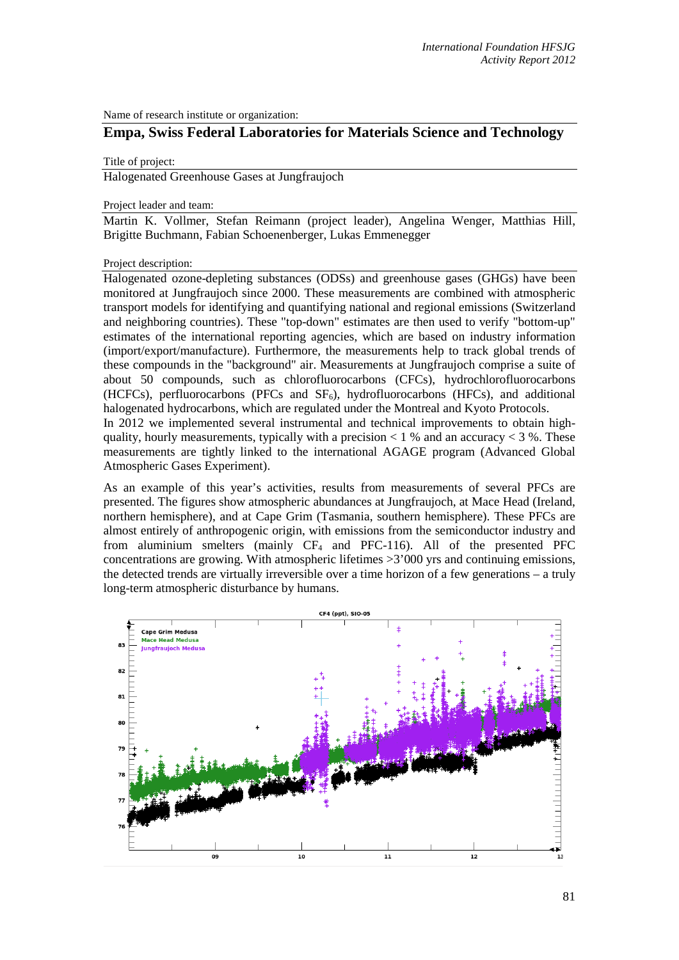Name of research institute or organization:

# **Empa, Swiss Federal Laboratories for Materials Science and Technology**

# Title of project:

Halogenated Greenhouse Gases at Jungfraujoch

Project leader and team:

Martin K. Vollmer, Stefan Reimann (project leader), Angelina Wenger, Matthias Hill, Brigitte Buchmann, Fabian Schoenenberger, Lukas Emmenegger

Project description:

Halogenated ozone-depleting substances (ODSs) and greenhouse gases (GHGs) have been monitored at Jungfraujoch since 2000. These measurements are combined with atmospheric transport models for identifying and quantifying national and regional emissions (Switzerland and neighboring countries). These "top-down" estimates are then used to verify "bottom-up" estimates of the international reporting agencies, which are based on industry information (import/export/manufacture). Furthermore, the measurements help to track global trends of these compounds in the "background" air. Measurements at Jungfraujoch comprise a suite of about 50 compounds, such as chlorofluorocarbons (CFCs), hydrochlorofluorocarbons (HCFCs), perfluorocarbons (PFCs and  $SF<sub>6</sub>$ ), hydrofluorocarbons (HFCs), and additional halogenated hydrocarbons, which are regulated under the Montreal and Kyoto Protocols. In 2012 we implemented several instrumental and technical improvements to obtain highquality, hourly measurements, typically with a precision  $< 1$  % and an accuracy  $< 3$  %. These measurements are tightly linked to the international AGAGE program (Advanced Global

Atmospheric Gases Experiment).

As an example of this year's activities, results from measurements of several PFCs are presented. The figures show atmospheric abundances at Jungfraujoch, at Mace Head (Ireland, northern hemisphere), and at Cape Grim (Tasmania, southern hemisphere). These PFCs are almost entirely of anthropogenic origin, with emissions from the semiconductor industry and from aluminium smelters (mainly  $CF_4$  and PFC-116). All of the presented PFC concentrations are growing. With atmospheric lifetimes >3'000 yrs and continuing emissions, the detected trends are virtually irreversible over a time horizon of a few generations – a truly long-term atmospheric disturbance by humans.

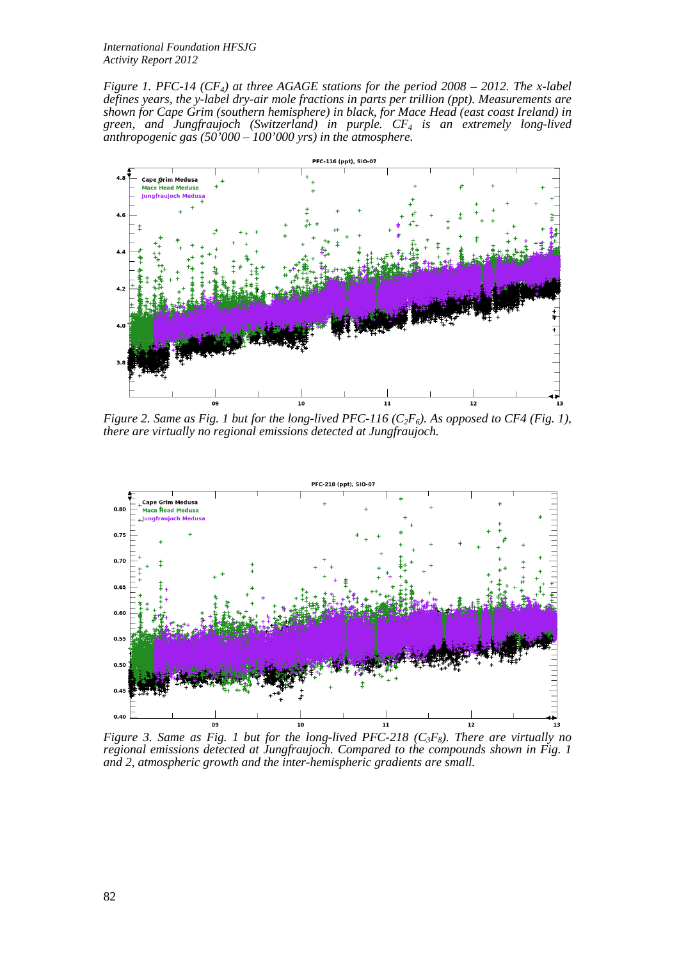*International Foundation HFSJG Activity Report 2012*

*Figure 1. PFC-14 (CF4) at three AGAGE stations for the period 2008 – 2012. The x-label defines years, the y-label dry-air mole fractions in parts per trillion (ppt). Measurements are shown for Cape Grim (southern hemisphere) in black, for Mace Head (east coast Ireland) in green, and Jungfraujoch (Switzerland) in purple. CF4 is an extremely long-lived anthropogenic gas (50'000 – 100'000 yrs) in the atmosphere.*



*Figure 2. Same as Fig. 1 but for the long-lived PFC-116 (* $C_2F_6$ *). As opposed to CF4 (Fig. 1), there are virtually no regional emissions detected at Jungfraujoch.* 



*Figure 3. Same as Fig. 1 but for the long-lived PFC-218 (C<sub>3</sub>F<sub>8</sub>). There are virtually no regional emissions detected at Jungfraujoch. Compared to the compounds shown in Fig. 1 and 2, atmospheric growth and the inter-hemispheric gradients are small.*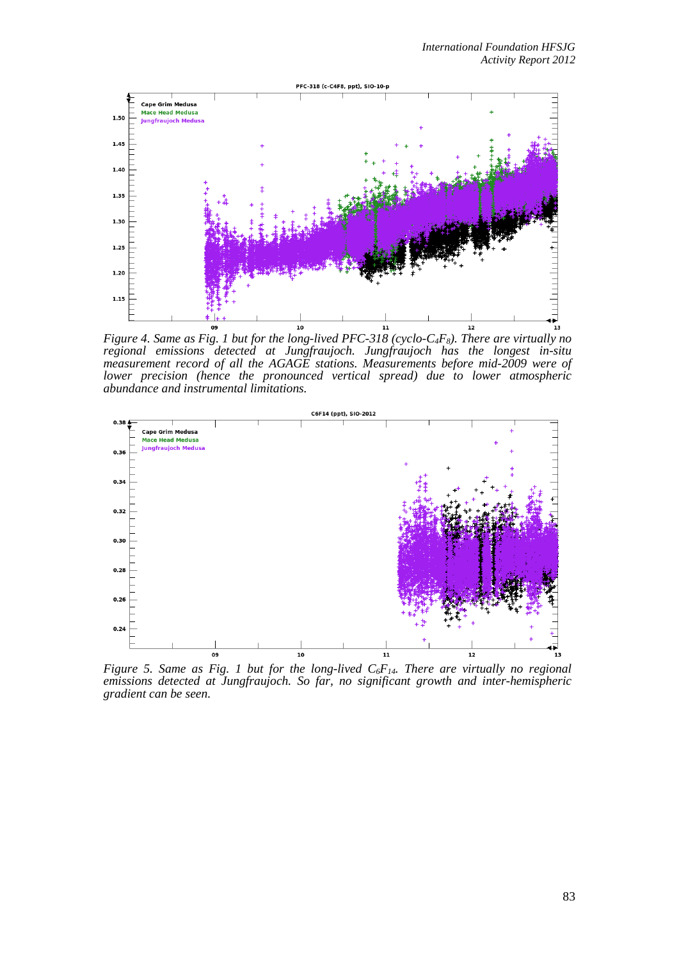

*Figure 4. Same as Fig. 1 but for the long-lived PFC-318 (cyclo-C4F8). There are virtually no regional emissions detected at Jungfraujoch. Jungfraujoch has the longest in-situ measurement record of all the AGAGE stations. Measurements before mid-2009 were of lower precision (hence the pronounced vertical spread) due to lower atmospheric abundance and instrumental limitations.* 



*Figure 5. Same as Fig. 1 but for the long-lived*  $C_6F_{14}$ *. There are virtually no regional emissions detected at Jungfraujoch. So far, no significant growth and inter-hemispheric gradient can be seen.*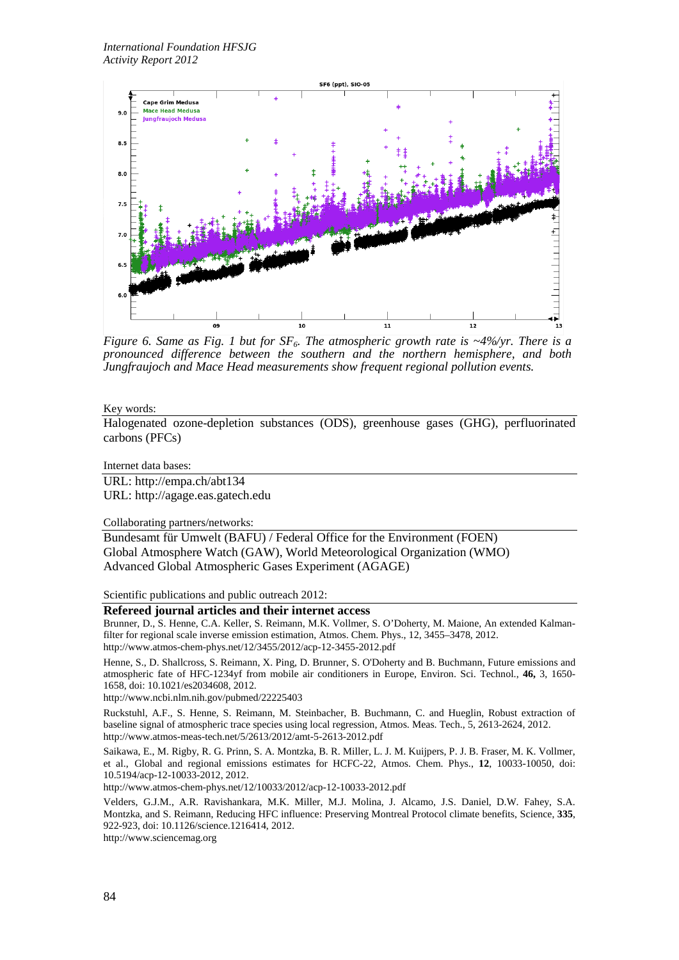

*Figure 6. Same as Fig. 1 but for*  $SF_6$ *. The atmospheric growth rate is*  $\sim$ 4%/yr. *There is a pronounced difference between the southern and the northern hemisphere, and both Jungfraujoch and Mace Head measurements show frequent regional pollution events.*

### Key words:

Halogenated ozone-depletion substances (ODS), greenhouse gases (GHG), perfluorinated carbons (PFCs)

#### Internet data bases:

URL: http://empa.ch/abt134 URL: http://agage.eas.gatech.edu

Collaborating partners/networks:

Bundesamt für Umwelt (BAFU) / Federal Office for the Environment (FOEN) Global Atmosphere Watch (GAW), World Meteorological Organization (WMO) Advanced Global Atmospheric Gases Experiment (AGAGE)

Scientific publications and public outreach 2012:

# **Refereed journal articles and their internet access**

Brunner, D., S. Henne, C.A. Keller, S. Reimann, M.K. Vollmer, S. O'Doherty, M. Maione, An extended Kalmanfilter for regional scale inverse emission estimation, Atmos. Chem. Phys., 12, 3455–3478, 2012. http://www.atmos-chem-phys.net/12/3455/2012/acp-12-3455-2012.pdf

Henne, S., D. Shallcross, S. Reimann, X. Ping, D. Brunner, S. O'Doherty and B. Buchmann, Future emissions and atmospheric fate of HFC-1234yf from mobile air conditioners in Europe, Environ. Sci. Technol., **46,** 3, 1650- 1658, doi: 10.1021/es2034608, 2012.

http://www.ncbi.nlm.nih.gov/pubmed/22225403

Ruckstuhl, A.F., S. Henne, S. Reimann, M. Steinbacher, B. Buchmann, C. and Hueglin, Robust extraction of baseline signal of atmospheric trace species using local regression, Atmos. Meas. Tech., 5, 2613-2624, 2012. http://www.atmos-meas-tech.net/5/2613/2012/amt-5-2613-2012.pdf

Saikawa, E., M. Rigby, R. G. Prinn, S. A. Montzka, B. R. Miller, L. J. M. Kuijpers, P. J. B. Fraser, M. K. Vollmer, et al., Global and regional emissions estimates for HCFC-22, Atmos. Chem. Phys., **12**, 10033-10050, doi: 10.5194/acp-12-10033-2012, 2012.

http://www.atmos-chem-phys.net/12/10033/2012/acp-12-10033-2012.pdf

Velders, G.J.M., A.R. Ravishankara, M.K. Miller, M.J. Molina, J. Alcamo, J.S. Daniel, D.W. Fahey, S.A. Montzka, and S. Reimann, Reducing HFC influence: Preserving Montreal Protocol climate benefits, Science, **335**, 922-923, doi: 10.1126/science.1216414, 2012.

http://www.sciencemag.org